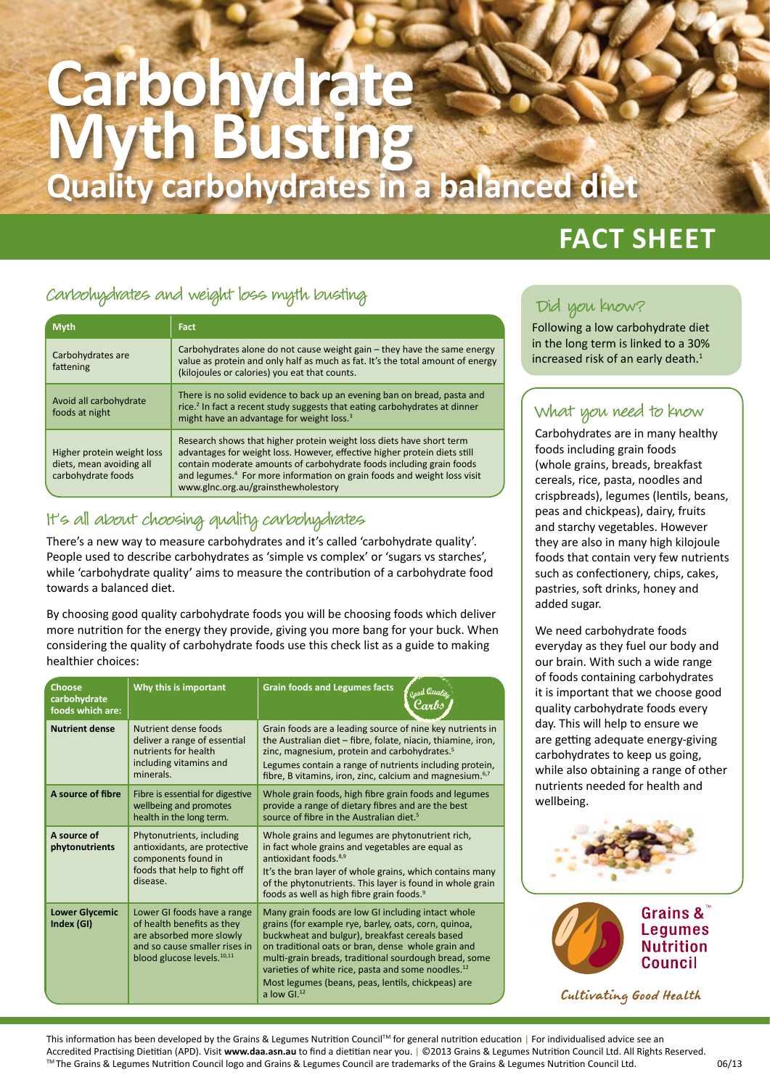# **Carbohydrate Myth Busting Quality carbohydrates in a balanced diet**

# Carbohydrates and weight loss myth busting Did you know?

| <b>Myth</b>                                                                  | <b>Fact</b>                                                                                                                                                                                                                                                                                                                                             |  |
|------------------------------------------------------------------------------|---------------------------------------------------------------------------------------------------------------------------------------------------------------------------------------------------------------------------------------------------------------------------------------------------------------------------------------------------------|--|
| Carbohydrates are<br>fattening                                               | Carbohydrates alone do not cause weight gain – they have the same energy<br>value as protein and only half as much as fat. It's the total amount of energy<br>(kilojoules or calories) you eat that counts.                                                                                                                                             |  |
| Avoid all carbohydrate<br>foods at night                                     | There is no solid evidence to back up an evening ban on bread, pasta and<br>rice. <sup>2</sup> In fact a recent study suggests that eating carbohydrates at dinner<br>might have an advantage for weight loss. <sup>3</sup>                                                                                                                             |  |
| Higher protein weight loss<br>diets, mean avoiding all<br>carbohydrate foods | Research shows that higher protein weight loss diets have short term<br>advantages for weight loss. However, effective higher protein diets still<br>contain moderate amounts of carbohydrate foods including grain foods<br>and legumes. <sup>4</sup> For more information on grain foods and weight loss visit<br>www.glnc.org.au/grainsthewholestory |  |

### It's all about choosing quality carbohydrates

There's a new way to measure carbohydrates and it's called 'carbohydrate quality'. People used to describe carbohydrates as 'simple vs complex' or 'sugars vs starches', while 'carbohydrate quality' aims to measure the contribution of a carbohydrate food towards a balanced diet.

By choosing good quality carbohydrate foods you will be choosing foods which deliver more nutrition for the energy they provide, giving you more bang for your buck. When considering the quality of carbohydrate foods use this check list as a guide to making healthier choices:

| Choose<br>carbohydrate<br>foods which are: | Why this is important                                                                                                                                   | <b>Grain foods and Legumes facts</b><br>Good Quality                                                                                                                                                                                                                                                                                                                                                                   |
|--------------------------------------------|---------------------------------------------------------------------------------------------------------------------------------------------------------|------------------------------------------------------------------------------------------------------------------------------------------------------------------------------------------------------------------------------------------------------------------------------------------------------------------------------------------------------------------------------------------------------------------------|
| <b>Nutrient dense</b>                      | Nutrient dense foods<br>deliver a range of essential<br>nutrients for health<br>including vitamins and<br>minerals.                                     | Grain foods are a leading source of nine key nutrients in<br>the Australian diet - fibre, folate, niacin, thiamine, iron,<br>zinc, magnesium, protein and carbohydrates. <sup>5</sup><br>Legumes contain a range of nutrients including protein,<br>fibre, B vitamins, iron, zinc, calcium and magnesium. <sup>6,7</sup>                                                                                               |
| A source of fibre                          | Fibre is essential for digestive<br>wellbeing and promotes<br>health in the long term.                                                                  | Whole grain foods, high fibre grain foods and legumes<br>provide a range of dietary fibres and are the best<br>source of fibre in the Australian diet. <sup>5</sup>                                                                                                                                                                                                                                                    |
| A source of<br>phytonutrients              | Phytonutrients, including<br>antioxidants, are protective<br>components found in<br>foods that help to fight off<br>disease.                            | Whole grains and legumes are phytonutrient rich,<br>in fact whole grains and vegetables are equal as<br>antioxidant foods. <sup>8,9</sup><br>It's the bran layer of whole grains, which contains many<br>of the phytonutrients. This layer is found in whole grain<br>foods as well as high fibre grain foods. <sup>9</sup>                                                                                            |
| <b>Lower Glycemic</b><br>Index (GI)        | Lower GI foods have a range<br>of health benefits as they<br>are absorbed more slowly<br>and so cause smaller rises in<br>blood glucose levels. $10,11$ | Many grain foods are low GI including intact whole<br>grains (for example rye, barley, oats, corn, quinoa,<br>buckwheat and bulgur), breakfast cereals based<br>on traditional oats or bran, dense whole grain and<br>multi-grain breads, traditional sourdough bread, some<br>varieties of white rice, pasta and some noodles. <sup>12</sup><br>Most legumes (beans, peas, lentils, chickpeas) are<br>a low $GI^{12}$ |

# **FACT SHEET**

Following a low carbohydrate diet in the long term is linked to a 30% increased risk of an early death.<sup>1</sup>

### What you need to know

Carbohydrates are in many healthy foods including grain foods (whole grains, breads, breakfast cereals, rice, pasta, noodles and crispbreads), legumes (lentils, beans, peas and chickpeas), dairy, fruits and starchy vegetables. However they are also in many high kilojoule foods that contain very few nutrients such as confectionery, chips, cakes, pastries, soft drinks, honey and added sugar.

We need carbohydrate foods everyday as they fuel our body and our brain. With such a wide range of foods containing carbohydrates it is important that we choose good quality carbohydrate foods every day. This will help to ensure we are getting adequate energy-giving carbohydrates to keep us going, while also obtaining a range of other nutrients needed for health and wellbeing.





Cultivating Good Health

This information has been developed by the Grains & Legumes Nutrition Council™ for general nutrition education | For individualised advice see an Accredited Practising Dietitian (APD). Visit **www.daa.asn.au** to find a dietitian near you. | ©2013 Grains & Legumes Nutrition Council Ltd. All Rights Reserved. ™ The Grains & Legumes Nutrition Council logo and Grains & Legumes Council are trademarks of the Grains & Legumes Nutrition Council Ltd. 06/13